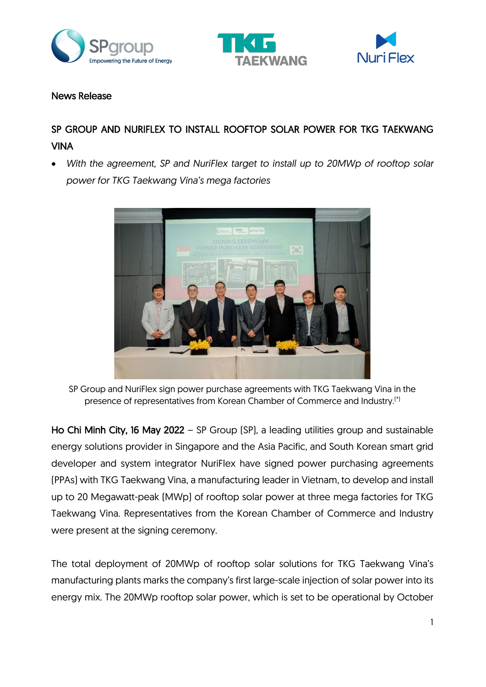





## News Release

# SP GROUP AND NURIFLEX TO INSTALL ROOFTOP SOLAR POWER FOR TKG TAEKWANG VINA

• *With the agreement, SP and NuriFlex target to install up to 20MWp of rooftop solar power for TKG Taekwang Vina's mega factories*



SP Group and NuriFlex sign power purchase agreements with TKG Taekwang Vina in the presence of representatives from Korean Chamber of Commerce and Industry.(\*)

Ho Chi Minh City, 16 May 2022 – SP Group (SP), a leading utilities group and sustainable energy solutions provider in Singapore and the Asia Pacific, and South Korean smart grid developer and system integrator NuriFlex have signed power purchasing agreements (PPAs) with TKG Taekwang Vina, a manufacturing leader in Vietnam, to develop and install up to 20 Megawatt-peak (MWp) of rooftop solar power at three mega factories for TKG Taekwang Vina. Representatives from the Korean Chamber of Commerce and Industry were present at the signing ceremony.

The total deployment of 20MWp of rooftop solar solutions for TKG Taekwang Vina's manufacturing plants marks the company's first large-scale injection of solar power into its energy mix. The 20MWp rooftop solar power, which is set to be operational by October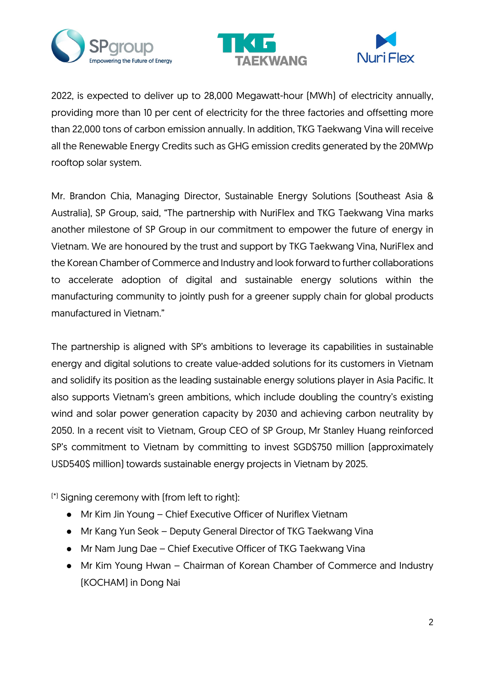





2022, is expected to deliver up to 28,000 Megawatt-hour (MWh) of electricity annually, providing more than 10 per cent of electricity for the three factories and offsetting more than 22,000 tons of carbon emission annually. In addition, TKG Taekwang Vina will receive all the Renewable Energy Credits such as GHG emission credits generated by the 20MWp rooftop solar system.

Mr. Brandon Chia, Managing Director, Sustainable Energy Solutions (Southeast Asia & Australia), SP Group, said, "The partnership with NuriFlex and TKG Taekwang Vina marks another milestone of SP Group in our commitment to empower the future of energy in Vietnam. We are honoured by the trust and support by TKG Taekwang Vina, NuriFlex and the Korean Chamber of Commerce and Industry and look forward to further collaborations to accelerate adoption of digital and sustainable energy solutions within the manufacturing community to jointly push for a greener supply chain for global products manufactured in Vietnam."

The partnership is aligned with SP's ambitions to leverage its capabilities in sustainable energy and digital solutions to create value-added solutions for its customers in Vietnam and solidify its position as the leading sustainable energy solutions player in Asia Pacific. It also supports Vietnam's green ambitions, which include doubling the country's existing wind and solar power generation capacity by 2030 and achieving carbon neutrality by 2050. In a recent visit to Vietnam, Group CEO of SP Group, Mr Stanley Huang reinforced SP's commitment to Vietnam by committing to invest SGD\$750 million (approximately USD540\$ million) towards sustainable energy projects in Vietnam by 2025.

(\*) Signing ceremony with (from left to right):

- Mr Kim Jin Young Chief Executive Officer of Nuriflex Vietnam
- Mr Kang Yun Seok Deputy General Director of TKG Taekwang Vina
- Mr Nam Jung Dae Chief Executive Officer of TKG Taekwang Vina
- Mr Kim Young Hwan Chairman of Korean Chamber of Commerce and Industry (KOCHAM) in Dong Nai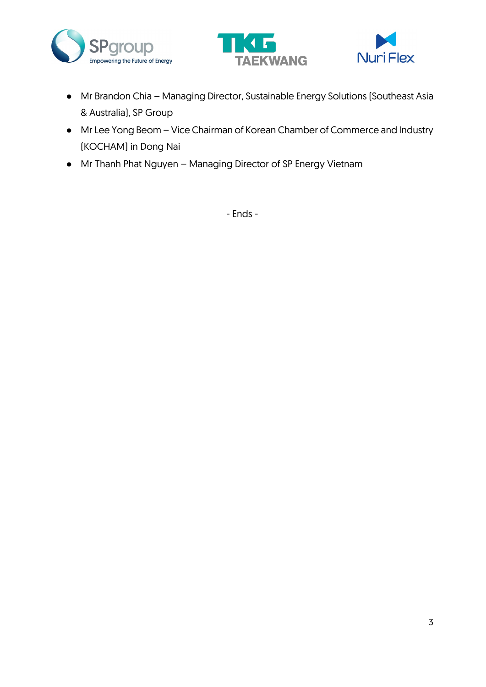





- Mr Brandon Chia Managing Director, Sustainable Energy Solutions (Southeast Asia & Australia), SP Group
- Mr Lee Yong Beom Vice Chairman of Korean Chamber of Commerce and Industry (KOCHAM) in Dong Nai
- Mr Thanh Phat Nguyen Managing Director of SP Energy Vietnam

- Ends -